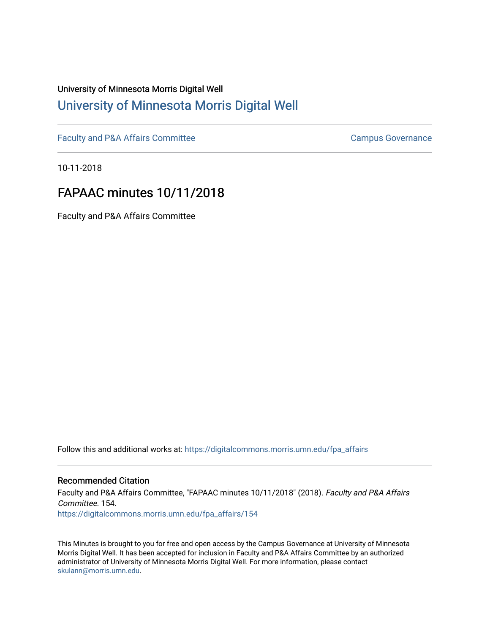# University of Minnesota Morris Digital Well [University of Minnesota Morris Digital Well](https://digitalcommons.morris.umn.edu/)

[Faculty and P&A Affairs Committee](https://digitalcommons.morris.umn.edu/fpa_affairs) [Campus Governance](https://digitalcommons.morris.umn.edu/campgov) Campus Governance

10-11-2018

# FAPAAC minutes 10/11/2018

Faculty and P&A Affairs Committee

Follow this and additional works at: [https://digitalcommons.morris.umn.edu/fpa\\_affairs](https://digitalcommons.morris.umn.edu/fpa_affairs?utm_source=digitalcommons.morris.umn.edu%2Ffpa_affairs%2F154&utm_medium=PDF&utm_campaign=PDFCoverPages)

## Recommended Citation

Faculty and P&A Affairs Committee, "FAPAAC minutes 10/11/2018" (2018). Faculty and P&A Affairs Committee. 154. [https://digitalcommons.morris.umn.edu/fpa\\_affairs/154](https://digitalcommons.morris.umn.edu/fpa_affairs/154?utm_source=digitalcommons.morris.umn.edu%2Ffpa_affairs%2F154&utm_medium=PDF&utm_campaign=PDFCoverPages)

This Minutes is brought to you for free and open access by the Campus Governance at University of Minnesota Morris Digital Well. It has been accepted for inclusion in Faculty and P&A Affairs Committee by an authorized administrator of University of Minnesota Morris Digital Well. For more information, please contact [skulann@morris.umn.edu.](mailto:skulann@morris.umn.edu)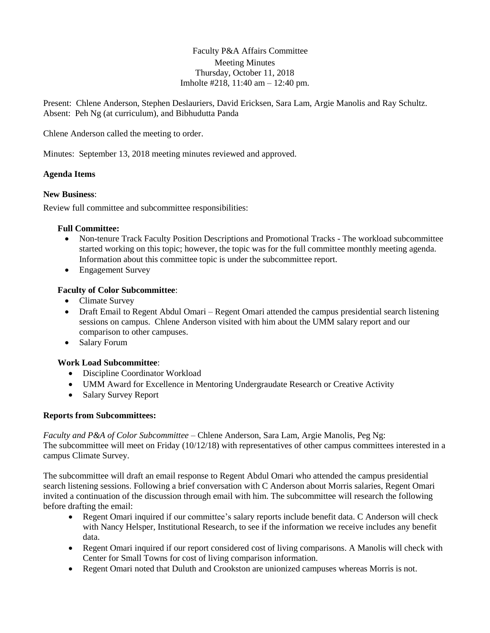# Faculty P&A Affairs Committee Meeting Minutes Thursday, October 11, 2018 Imholte #218, 11:40 am – 12:40 pm.

Present: Chlene Anderson, Stephen Deslauriers, David Ericksen, Sara Lam, Argie Manolis and Ray Schultz. Absent: Peh Ng (at curriculum), and Bibhudutta Panda

Chlene Anderson called the meeting to order.

Minutes: September 13, 2018 meeting minutes reviewed and approved.

### **Agenda Items**

#### **New Business**:

Review full committee and subcommittee responsibilities:

#### **Full Committee:**

- Non-tenure Track Faculty Position Descriptions and Promotional Tracks The workload subcommittee started working on this topic; however, the topic was for the full committee monthly meeting agenda. Information about this committee topic is under the subcommittee report.
- Engagement Survey

#### **Faculty of Color Subcommittee**:

- Climate Survey
- Draft Email to Regent Abdul Omari Regent Omari attended the campus presidential search listening sessions on campus. Chlene Anderson visited with him about the UMM salary report and our comparison to other campuses.
- Salary Forum

### **Work Load Subcommittee**:

- Discipline Coordinator Workload
- UMM Award for Excellence in Mentoring Undergraudate Research or Creative Activity
- Salary Survey Report

## **Reports from Subcommittees:**

*Faculty and P&A of Color Subcommittee* – Chlene Anderson, Sara Lam, Argie Manolis, Peg Ng: The subcommittee will meet on Friday (10/12/18) with representatives of other campus committees interested in a campus Climate Survey.

The subcommittee will draft an email response to Regent Abdul Omari who attended the campus presidential search listening sessions. Following a brief conversation with C Anderson about Morris salaries, Regent Omari invited a continuation of the discussion through email with him. The subcommittee will research the following before drafting the email:

- Regent Omari inquired if our committee's salary reports include benefit data. C Anderson will check with Nancy Helsper, Institutional Research, to see if the information we receive includes any benefit data.
- Regent Omari inquired if our report considered cost of living comparisons. A Manolis will check with Center for Small Towns for cost of living comparison information.
- Regent Omari noted that Duluth and Crookston are unionized campuses whereas Morris is not.